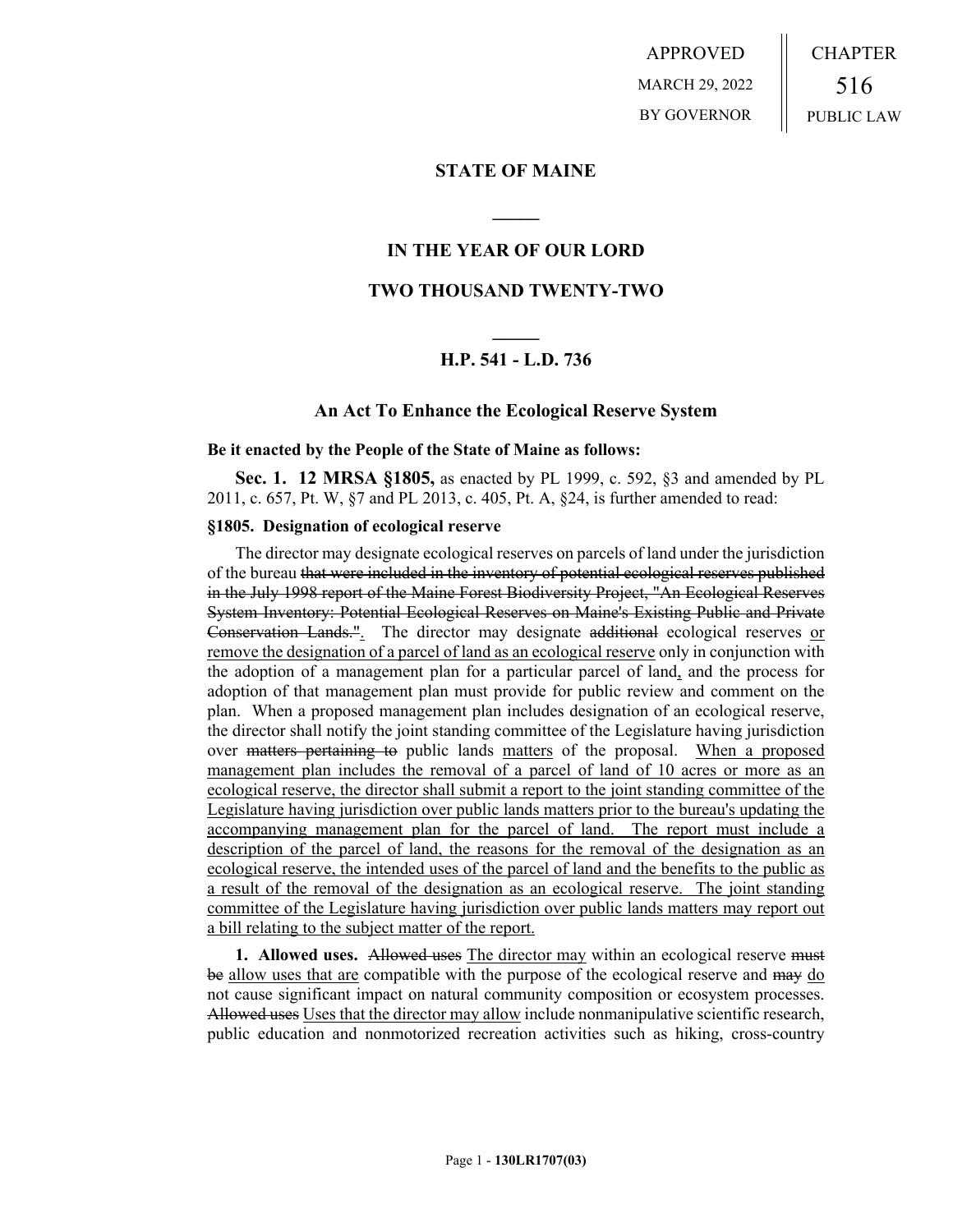APPROVED MARCH 29, 2022 BY GOVERNOR CHAPTER 516 PUBLIC LAW

## **STATE OF MAINE**

## **IN THE YEAR OF OUR LORD**

**\_\_\_\_\_**

## **TWO THOUSAND TWENTY-TWO**

# **\_\_\_\_\_ H.P. 541 - L.D. 736**

### **An Act To Enhance the Ecological Reserve System**

#### **Be it enacted by the People of the State of Maine as follows:**

**Sec. 1. 12 MRSA §1805,** as enacted by PL 1999, c. 592, §3 and amended by PL 2011, c. 657, Pt. W, §7 and PL 2013, c. 405, Pt. A, §24, is further amended to read:

### **§1805. Designation of ecological reserve**

The director may designate ecological reserves on parcels of land under the jurisdiction of the bureau that were included in the inventory of potential ecological reserves published in the July 1998 report of the Maine Forest Biodiversity Project, "An Ecological Reserves System Inventory: Potential Ecological Reserves on Maine's Existing Public and Private Conservation Lands.". The director may designate additional ecological reserves or remove the designation of a parcel of land as an ecological reserve only in conjunction with the adoption of a management plan for a particular parcel of land, and the process for adoption of that management plan must provide for public review and comment on the plan. When a proposed management plan includes designation of an ecological reserve, the director shall notify the joint standing committee of the Legislature having jurisdiction over matters pertaining to public lands matters of the proposal. When a proposed management plan includes the removal of a parcel of land of 10 acres or more as an ecological reserve, the director shall submit a report to the joint standing committee of the Legislature having jurisdiction over public lands matters prior to the bureau's updating the accompanying management plan for the parcel of land. The report must include a description of the parcel of land, the reasons for the removal of the designation as an ecological reserve, the intended uses of the parcel of land and the benefits to the public as a result of the removal of the designation as an ecological reserve. The joint standing committee of the Legislature having jurisdiction over public lands matters may report out a bill relating to the subject matter of the report.

**1. Allowed uses.** Allowed uses The director may within an ecological reserve must be allow uses that are compatible with the purpose of the ecological reserve and may do not cause significant impact on natural community composition or ecosystem processes. Allowed uses Uses that the director may allow include nonmanipulative scientific research, public education and nonmotorized recreation activities such as hiking, cross-country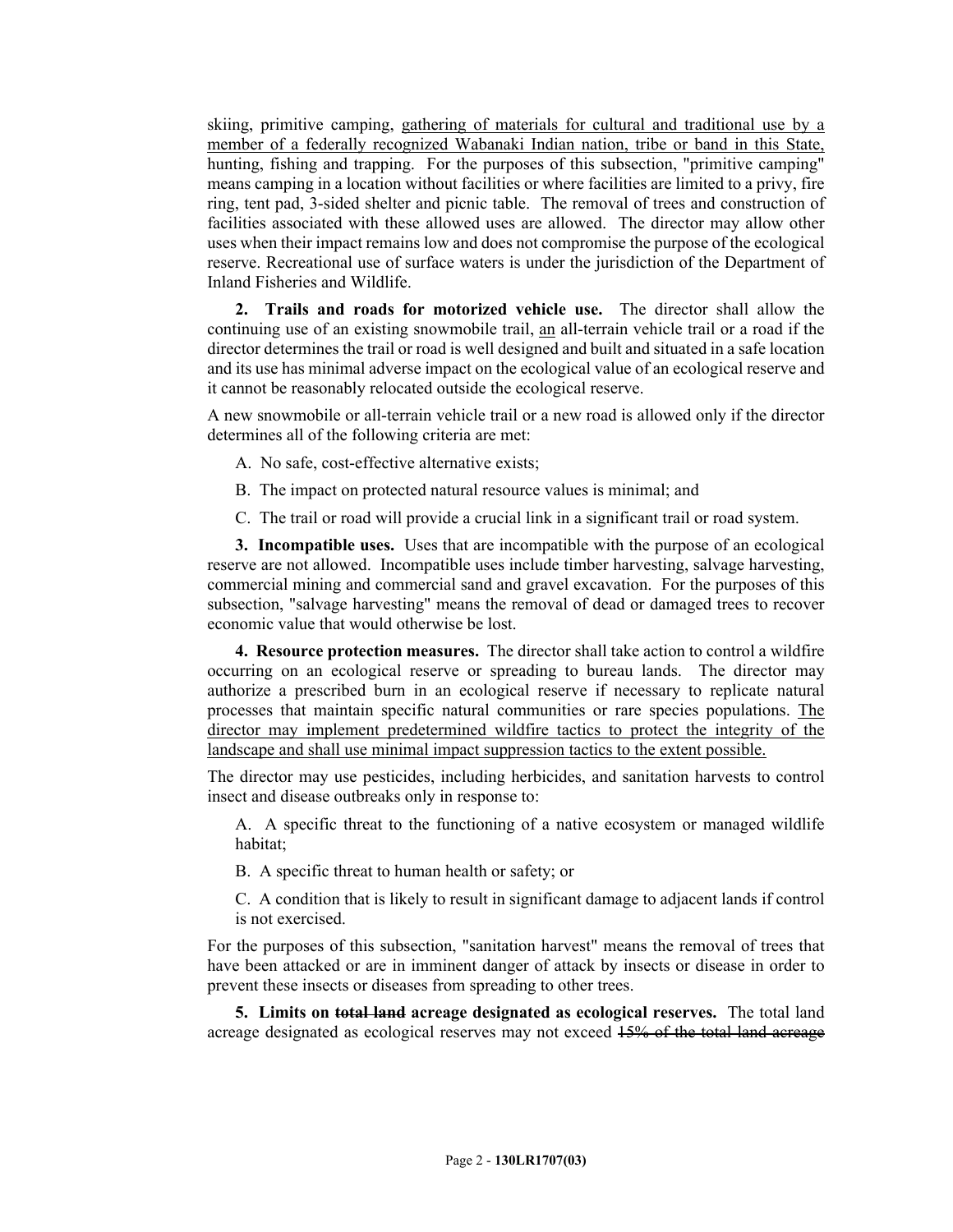skiing, primitive camping, gathering of materials for cultural and traditional use by a member of a federally recognized Wabanaki Indian nation, tribe or band in this State, hunting, fishing and trapping. For the purposes of this subsection, "primitive camping" means camping in a location without facilities or where facilities are limited to a privy, fire ring, tent pad, 3-sided shelter and picnic table. The removal of trees and construction of facilities associated with these allowed uses are allowed. The director may allow other uses when their impact remains low and does not compromise the purpose of the ecological reserve. Recreational use of surface waters is under the jurisdiction of the Department of Inland Fisheries and Wildlife.

**2. Trails and roads for motorized vehicle use.** The director shall allow the continuing use of an existing snowmobile trail, an all-terrain vehicle trail or a road if the director determines the trail or road is well designed and built and situated in a safe location and its use has minimal adverse impact on the ecological value of an ecological reserve and it cannot be reasonably relocated outside the ecological reserve.

A new snowmobile or all-terrain vehicle trail or a new road is allowed only if the director determines all of the following criteria are met:

- A. No safe, cost-effective alternative exists;
- B. The impact on protected natural resource values is minimal; and
- C. The trail or road will provide a crucial link in a significant trail or road system.

**3. Incompatible uses.** Uses that are incompatible with the purpose of an ecological reserve are not allowed. Incompatible uses include timber harvesting, salvage harvesting, commercial mining and commercial sand and gravel excavation. For the purposes of this subsection, "salvage harvesting" means the removal of dead or damaged trees to recover economic value that would otherwise be lost.

**4. Resource protection measures.** The director shall take action to control a wildfire occurring on an ecological reserve or spreading to bureau lands. The director may authorize a prescribed burn in an ecological reserve if necessary to replicate natural processes that maintain specific natural communities or rare species populations. The director may implement predetermined wildfire tactics to protect the integrity of the landscape and shall use minimal impact suppression tactics to the extent possible.

The director may use pesticides, including herbicides, and sanitation harvests to control insect and disease outbreaks only in response to:

A. A specific threat to the functioning of a native ecosystem or managed wildlife habitat;

B. A specific threat to human health or safety; or

C. A condition that is likely to result in significant damage to adjacent lands if control is not exercised.

For the purposes of this subsection, "sanitation harvest" means the removal of trees that have been attacked or are in imminent danger of attack by insects or disease in order to prevent these insects or diseases from spreading to other trees.

**5. Limits on total land acreage designated as ecological reserves.** The total land acreage designated as ecological reserves may not exceed  $15%$  of the total land acreage